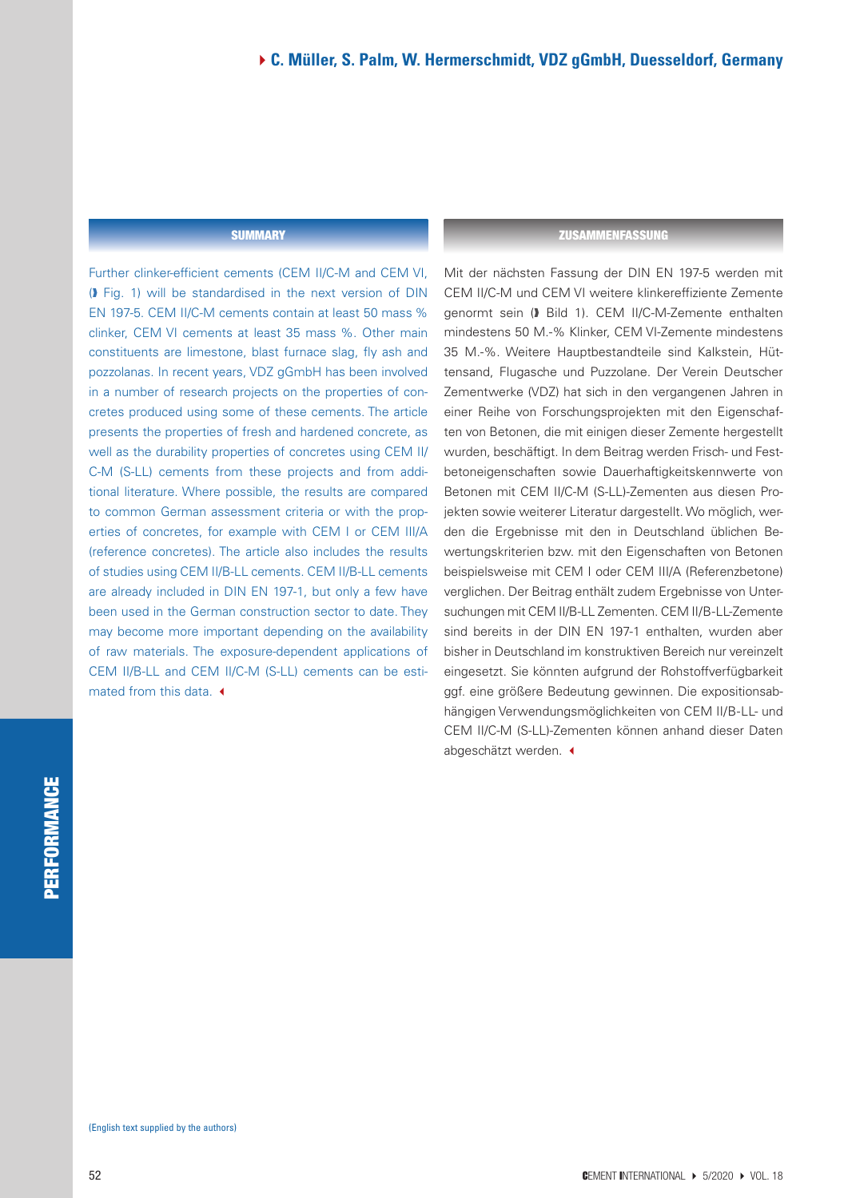#### **SUMMARY**

Further clinker-efficient cements (CEM II/C-M and CEM VI, (� Fig. 1) will be standardised in the next version of DIN EN 197-5. CEM II/C-M cements contain at least 50 mass % clinker, CEM VI cements at least 35 mass %. Other main constituents are limestone, blast furnace slag, fly ash and pozzolanas. In recent years, VDZ gGmbH has been involved in a number of research projects on the properties of concretes produced using some of these cements. The article presents the properties of fresh and hardened concrete, as well as the durability properties of concretes using CEM II/ C-M (S-LL) cements from these projects and from additional literature. Where possible, the results are compared to common German assessment criteria or with the properties of concretes, for example with CEM I or CEM III/A (reference concretes). The article also includes the results of studies using CEM II/B-LL cements. CEM II/B-LL cements are already included in DIN EN 197-1, but only a few have been used in the German construction sector to date. They may become more important depending on the availability of raw materials. The exposure-dependent applications of CEM II/B-LL and CEM II/C-M (S-LL) cements can be estimated from this data.  $\triangleleft$ 

#### **ZUSAMMENFASSUNG**

Mit der nächsten Fassung der DIN EN 197-5 werden mit CEM II/C-M und CEM VI weitere klinkereffiziente Zemente genormt sein (� Bild 1). CEM II/C-M-Zemente enthalten mindestens 50 M.-% Klinker, CEM VI-Zemente mindestens 35 M.-%. Weitere Hauptbestandteile sind Kalkstein, Hüttensand, Flugasche und Puzzolane. Der Verein Deutscher Zementwerke (VDZ) hat sich in den vergangenen Jahren in einer Reihe von Forschungsprojekten mit den Eigenschaften von Betonen, die mit einigen dieser Zemente hergestellt wurden, beschäftigt. In dem Beitrag werden Frisch- und Festbetoneigenschaften sowie Dauerhaftigkeitskennwerte von Betonen mit CEM II/C-M (S-LL)-Zementen aus diesen Projekten sowie weiterer Literatur dargestellt. Wo möglich, werden die Ergebnisse mit den in Deutschland üblichen Bewertungskriterien bzw. mit den Eigenschaften von Betonen beispielsweise mit CEM I oder CEM III/A (Referenzbetone) verglichen. Der Beitrag enthält zudem Ergebnisse von Untersuchungen mit CEM II/B-LL Zementen. CEM II/B-LL-Zemente sind bereits in der DIN EN 197-1 enthalten, wurden aber bisher in Deutschland im konstruktiven Bereich nur vereinzelt eingesetzt. Sie könnten aufgrund der Rohstoffverfügbarkeit ggf. eine größere Bedeutung gewinnen. Die expositionsabhängigen Verwendungsmöglichkeiten von CEM II/B-LL- und CEM II/C-M (S-LL)-Zementen können anhand dieser Daten abgeschätzt werden. <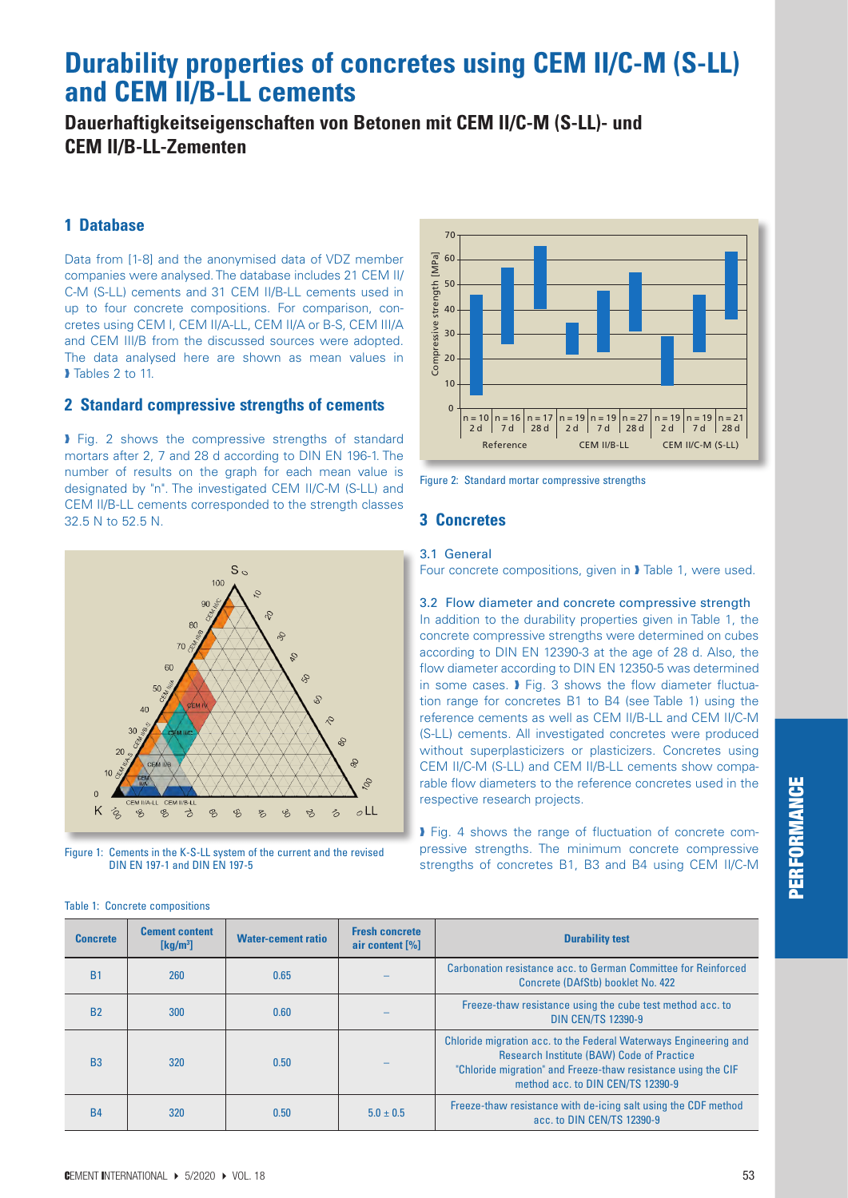## **Durability properties of concretes using CEM II/C-M (S-LL) and CEM II/B-LL cements**

## **Dauerhaftigkeitseigenschaften von Betonen mit CEM II/C-M (S-LL)- und CEM II/B-LL-Zementen**

#### **1 Database**

Data from [1-8] and the anonymised data of VDZ member companies were analysed. The database includes 21 CEM II/ C-M (S-LL) cements and 31 CEM II/B-LL cements used in up to four concrete compositions. For comparison, concretes using CEM I, CEM II/A-LL, CEM II/A or B-S, CEM III/A and CEM III/B from the discussed sources were adopted. The data analysed here are shown as mean values in Tables 2 to 11.

#### **2 Standard compressive strengths of cements**

**Fig. 2 shows the compressive strengths of standard** mortars after 2, 7 and 28 d according to DIN EN 196-1. The number of results on the graph for each mean value is designated by "n". The investigated CEM II/C-M (S-LL) and CEM II/B-LL cements corresponded to the strength classes 32.5 N to 52.5 N.



Figure 1: Cements in the K-S-LL system of the current and the revised DIN EN 197-1 and DIN EN 197-5





#### **3 Concretes**

#### 3.1General

Four concrete compositions, given in � Table 1, were used.

3.2 Flow diameter and concrete compressive strength In addition to the durability properties given in Table 1, the concrete compressive strengths were determined on cubes according to DIN EN 12390-3 at the age of 28 d. Also, the flow diameter according to DIN EN 12350-5 was determined in some cases. **I** Fig. 3 shows the flow diameter fluctuation range for concretes B1 to B4 (see Table 1) using the reference cements as well as CEM II/B-LL and CEM II/C-M (S-LL) cements. All investigated concretes were produced without superplasticizers or plasticizers. Concretes using CEM II/C-M (S-LL) and CEM II/B-LL cements show comparable flow diameters to the reference concretes used in the respective research projects.

� Fig. 4 shows the range of fluctuation of concrete compressive strengths. The minimum concrete compressive strengths of concretes B1, B3 and B4 using CEM II/C-M

| <b>Concrete</b> | <b>Cement content</b><br>$\left[\mathrm{kq/m^3}\right]$ | <b>Water-cement ratio</b> | <b>Fresh concrete</b><br>air content [%] | <b>Durability test</b>                                                                                                                                                                                                     |
|-----------------|---------------------------------------------------------|---------------------------|------------------------------------------|----------------------------------------------------------------------------------------------------------------------------------------------------------------------------------------------------------------------------|
| <b>B1</b>       | 260                                                     | 0.65                      |                                          | Carbonation resistance acc. to German Committee for Reinforced<br>Concrete (DAfStb) booklet No. 422                                                                                                                        |
| <b>B2</b>       | 300                                                     | 0.60                      |                                          | Freeze-thaw resistance using the cube test method acc. to<br><b>DIN CEN/TS 12390-9</b>                                                                                                                                     |
| B <sub>3</sub>  | 320                                                     | 0.50                      |                                          | Chloride migration acc. to the Federal Waterways Engineering and<br><b>Research Institute (BAW) Code of Practice</b><br>"Chloride migration" and Freeze-thaw resistance using the CIF<br>method acc. to DIN CEN/TS 12390-9 |
| <b>B4</b>       | 320                                                     | 0.50                      | $5.0 \pm 0.5$                            | Freeze-thaw resistance with de-icing salt using the CDF method<br>acc. to DIN CEN/TS 12390-9                                                                                                                               |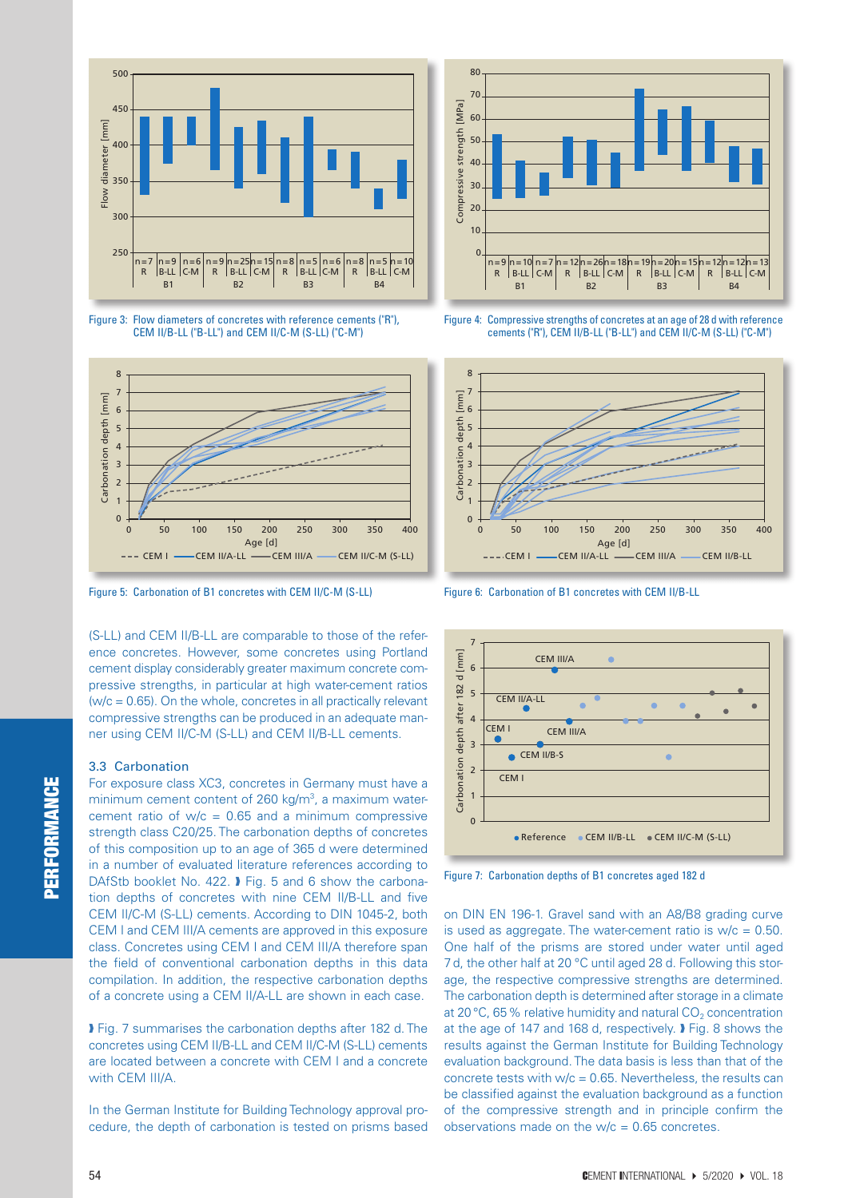

Figure 3: Flow diameters of concretes with reference cements ("R"), CEM II/B-LL ("B-LL") and CEM II/C-M (S-LL) ("C-M")



Figure 5: Carbonation of B1 concretes with CEM II/C-M (S-LL)

(S-LL) and CEM II/B-LL are comparable to those of the reference concretes. However, some concretes using Portland cement display considerably greater maximum concrete compressive strengths, in particular at high water-cement ratios  $(w/c = 0.65)$ . On the whole, concretes in all practically relevant compressive strengths can be produced in an adequate manner using CEM II/C-M (S-LL) and CEM II/B-LL cements.

#### 3.3 Carbonation

For exposure class XC3, concretes in Germany must have a minimum cement content of 260 kg/m<sup>3</sup>, a maximum watercement ratio of  $w/c = 0.65$  and a minimum compressive strength class C20/25. The carbonation depths of concretes of this composition up to an age of 365 d were determined in a number of evaluated literature references according to DAfStb booklet No. 422. I Fig. 5 and 6 show the carbonation depths of concretes with nine CEM II/B-LL and five CEM II/C-M (S-LL) cements. According to DIN 1045-2, both CEM I and CEM III/A cements are approved in this exposure class. Concretes using CEM I and CEM III/A therefore span the field of conventional carbonation depths in this data compilation. In addition, the respective carbonation depths of a concrete using a CEM II/A-LL are shown in each case.

� Fig. 7 summarises the carbonation depths after 182 d. The concretes using CEM II/B-LL and CEM II/C-M (S-LL) cements are located between a concrete with CEM I and a concrete with CEM III/A.

In the German Institute for Building Technology approval procedure, the depth of carbonation is tested on prisms based



Figure 4: Compressive strengths of concretes at an age of 28 d with reference cements ("R"), CEM II/B-LL ("B-LL") and CEM II/C-M (S-LL) ("C-M")



Figure 6: Carbonation of B1 concretes with CEM II/B-LL



Figure 7: Carbonation depths of B1 concretes aged 182 d

on DIN EN 196-1. Gravel sand with an A8/B8 grading curve is used as aggregate. The water-cement ratio is  $w/c = 0.50$ . One half of the prisms are stored under water until aged 7 d, the other half at 20 °C until aged 28 d. Following this storage, the respective compressive strengths are determined. The carbonation depth is determined after storage in a climate at 20 $\degree$ C, 65% relative humidity and natural CO<sub>2</sub> concentration at the age of 147 and 168 d, respectively. � Fig. 8 shows the results against the German Institute for Building Technology evaluation background. The data basis is less than that of the concrete tests with  $w/c = 0.65$ . Nevertheless, the results can be classified against the evaluation background as a function of the compressive strength and in principle confirm the observations made on the  $w/c = 0.65$  concretes.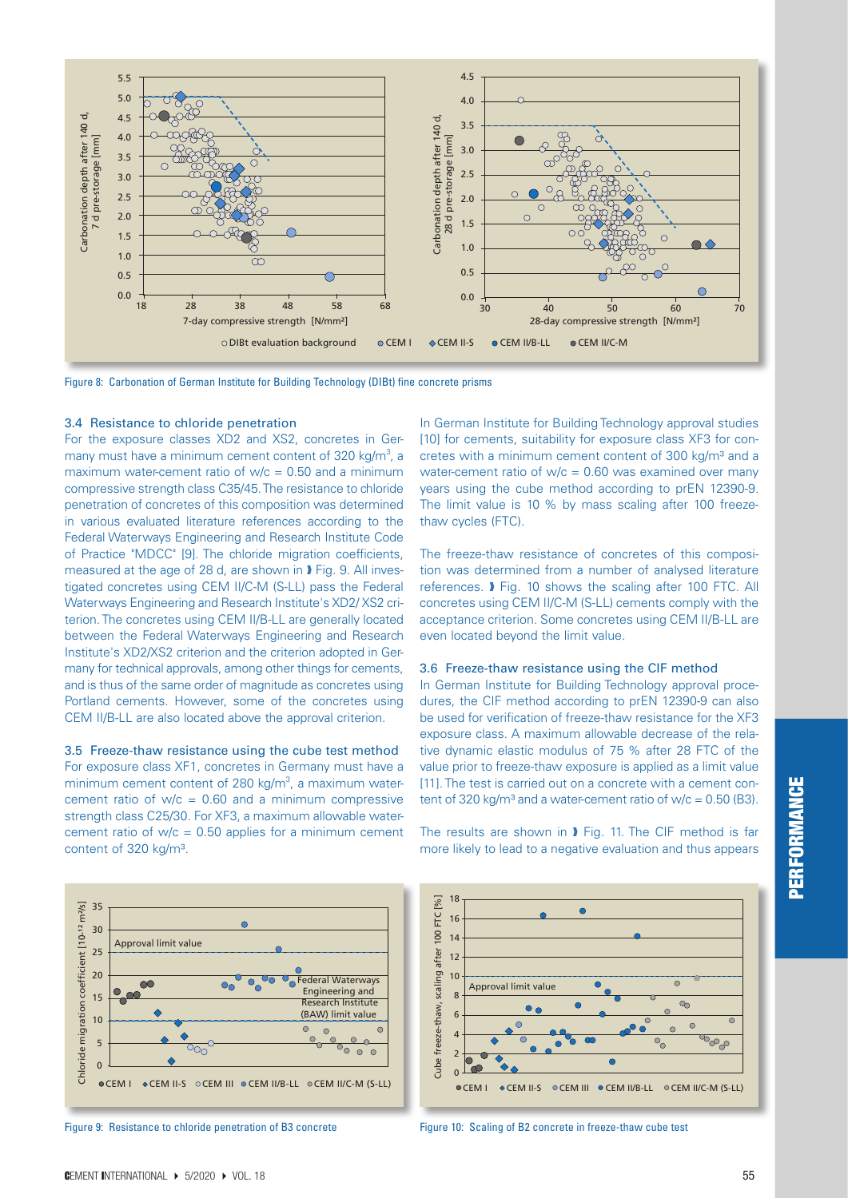

Figure 8: Carbonation of German Institute for Building Technology (DIBt) fine concrete prisms

#### 3.4 Resistance to chloride penetration

For the exposure classes XD2 and XS2, concretes in Germany must have a minimum cement content of 320 kg/m<sup>3</sup>, a maximum water-cement ratio of  $w/c = 0.50$  and a minimum compressive strength class C35/45. The resistance to chloride penetration of concretes of this composition was determined in various evaluated literature references according to the Federal Waterways Engineering and Research Institute Code of Practice "MDCC" [9]. The chloride migration coefficients, measured at the age of 28 d, are shown in **J** Fig. 9. All investigated concretes using CEM II/C-M (S-LL) pass the Federal Waterways Engineering and Research Institute's XD2/ XS2 criterion. The concretes using CEM II/B-LL are generally located between the Federal Waterways Engineering and Research Institute's XD2/XS2 criterion and the criterion adopted in Germany for technical approvals, among other things for cements, and is thus of the same order of magnitude as concretes using Portland cements. However, some of the concretes using CEM II/B-LL are also located above the approval criterion.

3.5 Freeze-thaw resistance using the cube test method For exposure class XF1, concretes in Germany must have a minimum cement content of 280 kg/m<sup>3</sup>, a maximum watercement ratio of  $w/c = 0.60$  and a minimum compressive strength class C25/30. For XF3, a maximum allowable watercement ratio of  $w/c = 0.50$  applies for a minimum cement content of 320 kg/m<sup>3</sup>.

In German Institute for Building Technology approval studies [10] for cements, suitability for exposure class XF3 for concretes with a minimum cement content of 300 kg/m<sup>3</sup> and a water-cement ratio of  $w/c = 0.60$  was examined over many years using the cube method according to prEN 12390-9. The limit value is 10 % by mass scaling after 100 freezethaw cycles (FTC).

The freeze-thaw resistance of concretes of this composition was determined from a number of analysed literature references. � Fig. 10 shows the scaling after 100 FTC. All concretes using CEM II/C-M (S-LL) cements comply with the acceptance criterion. Some concretes using CEM II/B-LL are even located beyond the limit value.

#### 3.6 Freeze-thaw resistance using the CIF method

In German Institute for Building Technology approval procedures, the CIF method according to prEN 12390-9 can also be used for verification of freeze-thaw resistance for the XF3 exposure class. A maximum allowable decrease of the relative dynamic elastic modulus of 75 % after 28 FTC of the value prior to freeze-thaw exposure is applied as a limit value [11]. The test is carried out on a concrete with a cement content of 320 kg/m<sup>3</sup> and a water-cement ratio of  $w/c = 0.50$  (B3).



Figure 9: Resistance to chloride penetration of B3 concrete



The results are shown in � Fig. 11. The CIF method is far



Figure 10: Scaling of B2 concrete in freeze-thaw cube test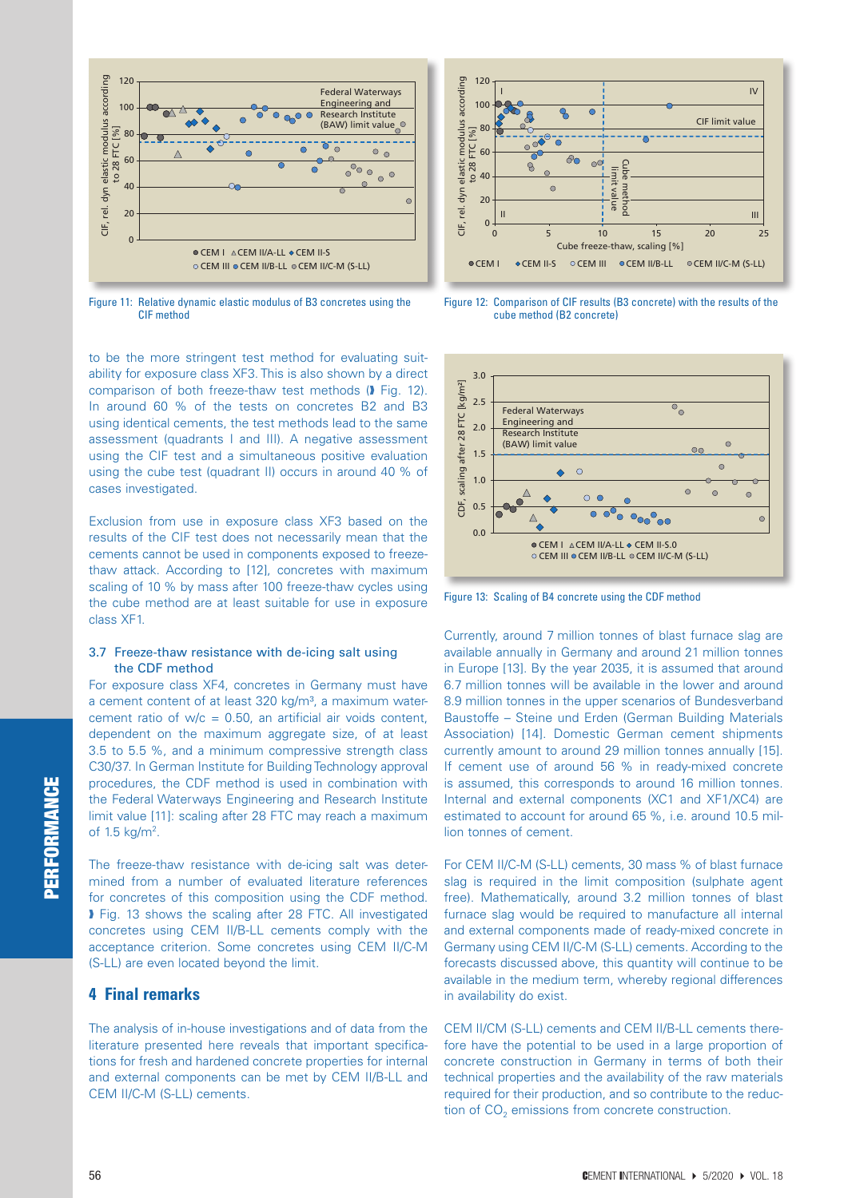

Figure 11: Relative dynamic elastic modulus of B3 concretes using the CIF method

to be the more stringent test method for evaluating suitability for exposure class XF3. This is also shown by a direct comparison of both freeze-thaw test methods (� Fig. 12). In around 60 % of the tests on concretes B2 and B3 using identical cements, the test methods lead to the same assessment (quadrants I and III). A negative assessment using the CIF test and a simultaneous positive evaluation using the cube test (quadrant II) occurs in around 40 % of cases investigated.

Exclusion from use in exposure class XF3 based on the results of the CIF test does not necessarily mean that the cements cannot be used in components exposed to freezethaw attack. According to [12], concretes with maximum scaling of 10 % by mass after 100 freeze-thaw cycles using the cube method are at least suitable for use in exposure class XF1.

#### 3.7 Freeze-thaw resistance with de-icing salt using the CDF method

For exposure class XF4, concretes in Germany must have a cement content of at least 320 kg/m<sup>3</sup>, a maximum watercement ratio of  $w/c = 0.50$ , an artificial air voids content, dependent on the maximum aggregate size, of at least 3.5 to 5.5 %, and a minimum compressive strength class C30/37. In German Institute for Building Technology approval procedures, the CDF method is used in combination with the Federal Waterways Engineering and Research Institute limit value [11]: scaling after 28 FTC may reach a maximum of 1.5  $kg/m^2$ .

The freeze-thaw resistance with de-icing salt was determined from a number of evaluated literature references for concretes of this composition using the CDF method. � Fig. 13 shows the scaling after 28 FTC. All investigated concretes using CEM II/B-LL cements comply with the acceptance criterion. Some concretes using CEM II/C-M (S-LL) are even located beyond the limit.

#### **4 Final remarks**

The analysis of in-house investigations and of data from the literature presented here reveals that important specifications for fresh and hardened concrete properties for internal and external components can be met by CEM II/B-LL and CEM II/C-M (S-LL) cements.



Figure 12: Comparison of CIF results (B3 concrete) with the results of the cube method (B2 concrete)



Figure 13: Scaling of B4 concrete using the CDF method

Currently, around 7 million tonnes of blast furnace slag are available annually in Germany and around 21 million tonnes in Europe [13]. By the year 2035, it is assumed that around 6.7 million tonnes will be available in the lower and around 8.9 million tonnes in the upper scenarios of Bundesverband Baustoffe – Steine und Erden (German Building Materials Association) [14]. Domestic German cement shipments currently amount to around 29 million tonnes annually [15]. If cement use of around 56 % in ready-mixed concrete is assumed, this corresponds to around 16 million tonnes. Internal and external components (XC1 and XF1/XC4) are estimated to account for around 65 %, i.e. around 10.5 million tonnes of cement.

For CEM II/C-M (S-LL) cements, 30 mass % of blast furnace slag is required in the limit composition (sulphate agent free). Mathematically, around 3.2 million tonnes of blast furnace slag would be required to manufacture all internal and external components made of ready-mixed concrete in Germany using CEM II/C-M (S-LL) cements. According to the forecasts discussed above, this quantity will continue to be available in the medium term, whereby regional differences in availability do exist.

CEM II/CM (S-LL) cements and CEM II/B-LL cements therefore have the potential to be used in a large proportion of concrete construction in Germany in terms of both their technical properties and the availability of the raw materials required for their production, and so contribute to the reduction of CO<sub>2</sub> emissions from concrete construction.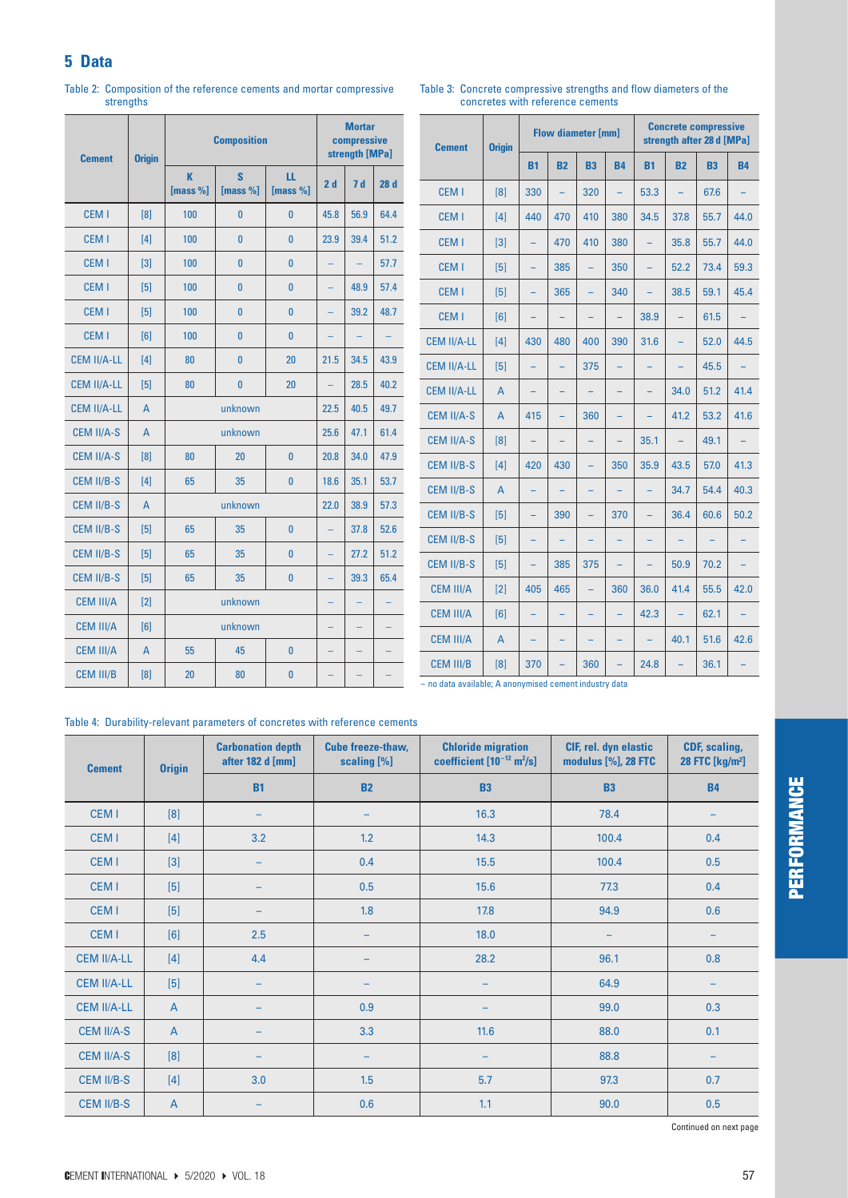## **5 Data**

| <b>Cement</b>      | <b>Origin</b>  |               | <b>Composition</b> |                  | <b>Mortar</b><br>compressive<br>strength [MPa] |      |      |  |
|--------------------|----------------|---------------|--------------------|------------------|------------------------------------------------|------|------|--|
|                    |                | K<br>[mass %] | S<br>[mass $%$ ]   | ш<br>[mass $%$ ] | 2d                                             | 7d   | 28d  |  |
| <b>CEM I</b>       | [8]            | 100           | $\bf{0}$           | $\bf{0}$         | 45.8                                           | 56.9 | 64.4 |  |
| CEM <sub>1</sub>   | [4]            | 100           | $\bf{0}$           | $\bf{0}$         | 23.9                                           | 39.4 | 51.2 |  |
| <b>CEM I</b>       | [3]            | 100           | $\bf{0}$           | $\bf{0}$         |                                                |      | 57.7 |  |
| CEM <sub>I</sub>   | [5]            | 100           | $\bf{0}$           | $\bf{0}$         |                                                | 48.9 | 57.4 |  |
| CEM <sub>1</sub>   | $[5]$          | 100           | $\bf{0}$           | $\bf{0}$         |                                                | 39.2 | 48.7 |  |
| <b>CEM I</b>       | [6]            | 100           | $\bf{0}$           | $\bf{0}$         |                                                |      |      |  |
| <b>CEM II/A-LL</b> | $[4]$          | 80            | $\bf{0}$           | 20               | 21.5                                           | 34.5 | 43.9 |  |
| <b>CEM II/A-LL</b> | [5]            | 80            | $\bf{0}$           | 20               |                                                | 28.5 | 40.2 |  |
| <b>CEM II/A-LL</b> | $\mathsf{A}$   |               | unknown            | 22.5             | 40.5                                           | 49.7 |      |  |
| <b>CEM II/A-S</b>  | A              |               | unknown            |                  | 25.6                                           | 47.1 | 61.4 |  |
| <b>CEM II/A-S</b>  | [8]            | 80            | 20                 | $\bf{0}$         | 20.8                                           | 34.0 | 47.9 |  |
| <b>CEM II/B-S</b>  | [4]            | 65            | 35                 | $\bf{0}$         | 18.6                                           | 35.1 | 53.7 |  |
| <b>CEM II/B-S</b>  | $\overline{A}$ |               | unknown            |                  | 22.0                                           | 38.9 | 57.3 |  |
| <b>CEM II/B-S</b>  | $[5]$          | 65            | 35                 | $\bf{0}$         |                                                | 37.8 | 52.6 |  |
| <b>CEM II/B-S</b>  | [5]            | 65            | 35                 | 0                |                                                | 27.2 | 51.2 |  |
| <b>CEM II/B-S</b>  | [5]            | 65            | 35                 | $\bf{0}$         |                                                | 39.3 | 65.4 |  |
| <b>CEM III/A</b>   | [2]            |               | unknown            |                  |                                                |      |      |  |
| <b>CEM III/A</b>   | [6]            |               | unknown            |                  |                                                |      |      |  |
| <b>CEM III/A</b>   | $\mathsf{A}$   | 55            | 45                 | $\bf{0}$         |                                                |      |      |  |
| <b>CEM III/B</b>   | [8]            | 20            | 80                 | $\bf{0}$         |                                                |      |      |  |

Table 2: Composition of the reference cements and mortar compressive strengths

| Table 3: Concrete compressive strengths and flow diameters of the |
|-------------------------------------------------------------------|
| concretes with reference cements                                  |

| <b>Cement</b>      | <b>Origin</b>  |           |           | <b>Flow diameter [mm]</b> |           | <b>Concrete compressive</b><br>strength after 28 d [MPa] |           |           |           |  |
|--------------------|----------------|-----------|-----------|---------------------------|-----------|----------------------------------------------------------|-----------|-----------|-----------|--|
|                    |                | <b>B1</b> | <b>B2</b> | <b>B3</b>                 | <b>B4</b> | <b>B1</b>                                                | <b>B2</b> | <b>B3</b> | <b>B4</b> |  |
| <b>CEM I</b>       | [8]            | 330       |           | 320                       |           | 53.3                                                     |           | 67.6      |           |  |
| CEM <sub>I</sub>   | [4]            | 440       | 470       | 410                       | 380       | 34.5                                                     | 37.8      | 55.7      | 44.0      |  |
| CEM <sub>I</sub>   | $[3]$          |           | 470       | 410                       | 380       |                                                          | 35.8      | 55.7      | 44.0      |  |
| CEM <sub>I</sub>   | [5]            |           | 385       | ÷,                        | 350       | ۳                                                        | 52.2      | 73.4      | 59.3      |  |
| CEM <sub>I</sub>   | [5]            |           | 365       | L                         | 340       | L,                                                       | 38.5      | 59.1      | 45.4      |  |
| CEM <sub>I</sub>   | [6]            |           |           |                           |           | 38.9                                                     |           | 61.5      |           |  |
| <b>CEM II/A-LL</b> | [4]            | 430       | 480       | 400                       | 390       | 31.6                                                     | ÷,        | 52.0      | 44.5      |  |
| <b>CEM II/A-LL</b> | $[5]$          |           |           | 375                       |           |                                                          |           | 45.5      |           |  |
| <b>CEM II/A-LL</b> | A              |           |           |                           |           |                                                          | 34.0      | 51.2      | 41.4      |  |
| <b>CEM II/A-S</b>  | $\overline{A}$ | 415       |           | 360                       |           |                                                          | 41.2      | 53.2      | 41.6      |  |
| <b>CEM II/A-S</b>  | [8]            | ÷,        |           |                           |           | 35.1                                                     |           | 49.1      |           |  |
| <b>CEM II/B-S</b>  | [4]            | 420       | 430       |                           | 350       | 35.9                                                     | 43.5      | 57.0      | 41.3      |  |
| CEM II/B-S         | $\overline{A}$ |           |           | ÷,                        |           |                                                          | 34.7      | 54.4      | 40.3      |  |
| <b>CEM II/B-S</b>  | $[5]$          |           | 390       |                           | 370       |                                                          | 36.4      | 60.6      | 50.2      |  |
| <b>CEM II/B-S</b>  | [5]            | ۳         |           |                           |           |                                                          |           |           |           |  |
| <b>CEM II/B-S</b>  | $[5]$          |           | 385       | 375                       |           |                                                          | 50.9      | 70.2      |           |  |
| <b>CEM III/A</b>   | $[2]$          | 405       | 465       | $\overline{a}$            | 360       | 36.0                                                     | 41.4      | 55.5      | 42.0      |  |
| <b>CEM III/A</b>   | [6]            |           |           |                           |           | 42.3                                                     |           | 62.1      |           |  |
| <b>CEM III/A</b>   | A              | -         |           |                           | -         |                                                          | 40.1      | 51.6      | 42.6      |  |
| <b>CEM III/B</b>   | [8]            | 370       |           | 360                       |           | 24.8                                                     |           | 36.1      |           |  |

- no data available; A anonymised cement industry data

Table 4: Durability-relevant parameters of concretes with reference cements

| <b>Cement</b>      | <b>Origin</b>  | <b>Carbonation depth</b><br>after 182 d [mm] | <b>Cube freeze-thaw,</b><br>scaling [%] | <b>Chloride migration</b><br>coefficient $[10^{-12} \text{ m}^2/\text{s}]$ | CIF, rel. dyn elastic<br>modulus [%], 28 FTC | <b>CDF, scaling,</b><br>28 FTC [kg/m <sup>2</sup> ] |  |
|--------------------|----------------|----------------------------------------------|-----------------------------------------|----------------------------------------------------------------------------|----------------------------------------------|-----------------------------------------------------|--|
|                    |                | <b>B1</b>                                    | <b>B2</b>                               | <b>B3</b>                                                                  | <b>B3</b>                                    | <b>B4</b>                                           |  |
| CEM <sub>1</sub>   | [8]            | -                                            | $\overline{\phantom{0}}$                | 16.3                                                                       | 78.4                                         |                                                     |  |
| CEM <sub>I</sub>   | $[4]$          | 3.2                                          | 1.2                                     | 14.3                                                                       | 100.4                                        | 0.4                                                 |  |
| CEM <sub>I</sub>   | $[3]$          |                                              | 0.4                                     | 15.5                                                                       | 100.4                                        | 0.5                                                 |  |
| CEM <sub>I</sub>   | [5]            | $\overline{\phantom{0}}$                     | 0.5                                     | 15.6                                                                       | 77.3                                         | 0.4                                                 |  |
| CEM <sub>I</sub>   | [5]            |                                              | 1.8                                     | 17.8                                                                       | 94.9                                         | 0.6                                                 |  |
| CEM <sub>I</sub>   | [6]            | 2.5                                          | $\overline{\phantom{0}}$                | 18.0                                                                       |                                              |                                                     |  |
| <b>CEM II/A-LL</b> | [4]            | 4.4                                          | $\overline{\phantom{0}}$                | 28.2                                                                       | 96.1                                         | 0.8                                                 |  |
| <b>CEM II/A-LL</b> | [5]            |                                              |                                         |                                                                            | 64.9                                         |                                                     |  |
| <b>CEM II/A-LL</b> | $\overline{A}$ | $\overline{\phantom{0}}$                     | 0.9                                     | -                                                                          | 99.0                                         | 0.3                                                 |  |
| <b>CEM II/A-S</b>  | $\mathsf{A}$   |                                              | 3.3                                     | 11.6                                                                       | 88.0                                         | 0.1                                                 |  |
| <b>CEM II/A-S</b>  | [8]            |                                              | $\overline{\phantom{0}}$                | $\overline{\phantom{0}}$                                                   | 88.8                                         |                                                     |  |
| <b>CEM II/B-S</b>  | $[4]$          | 3.0                                          | 1.5                                     | 5.7                                                                        | 97.3                                         | 0.7                                                 |  |
| <b>CEM II/B-S</b>  | $\overline{A}$ | -                                            | 0.6                                     | 1.1                                                                        | 90.0                                         | 0.5                                                 |  |

Continued on next page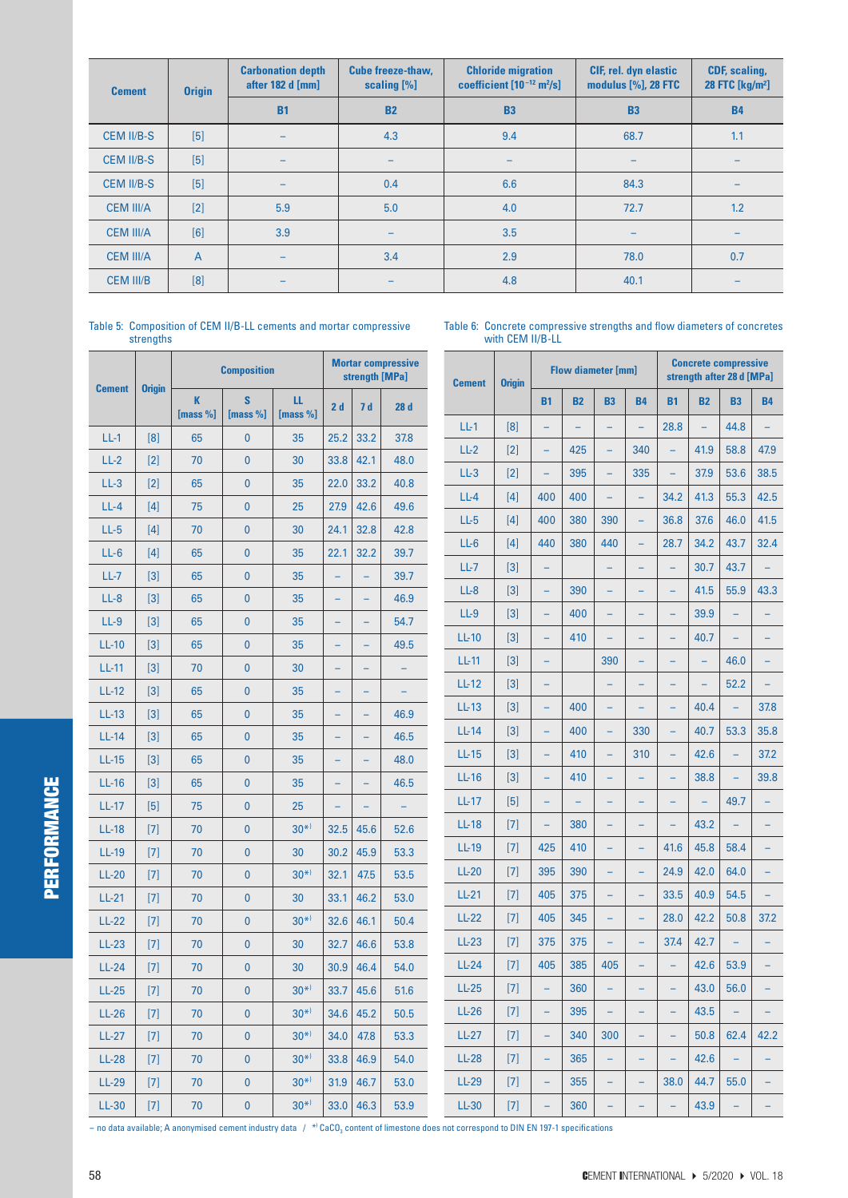| <b>Cement</b>     | <b>Origin</b>  | <b>Carbonation depth</b><br>after 182 d [mm] | <b>Cube freeze-thaw,</b><br>scaling $[\%]$ | <b>Chloride migration</b><br>coefficient $[10^{-12} \text{ m}^2/\text{s}]$ | <b>CIF, rel. dyn elastic</b><br>modulus [%], 28 FTC | <b>CDF, scaling,</b><br>28 FTC [kg/m <sup>2</sup> ] |  |
|-------------------|----------------|----------------------------------------------|--------------------------------------------|----------------------------------------------------------------------------|-----------------------------------------------------|-----------------------------------------------------|--|
|                   |                | <b>B1</b>                                    | <b>B2</b>                                  | <b>B3</b>                                                                  | <b>B3</b>                                           | <b>B4</b>                                           |  |
| <b>CEM II/B-S</b> | $[5]$          |                                              | 4.3                                        | 9.4                                                                        | 68.7                                                | 1.1                                                 |  |
| <b>CEM II/B-S</b> | $[5]$          | -                                            | -                                          | $\overline{\phantom{0}}$                                                   |                                                     |                                                     |  |
| <b>CEM II/B-S</b> | [5]            |                                              | 0.4                                        | 6.6                                                                        | 84.3                                                |                                                     |  |
| <b>CEM III/A</b>  | $[2]$          | 5.9                                          | 5.0                                        | 4.0                                                                        | 72.7                                                | 1.2                                                 |  |
| <b>CEM III/A</b>  | [6]            | 3.9                                          |                                            | 3.5                                                                        |                                                     |                                                     |  |
| <b>CEM III/A</b>  | $\overline{A}$ | -                                            | 3.4                                        | 2.9                                                                        | 78.0                                                | 0.7                                                 |  |
| <b>CEM III/B</b>  | [8]            |                                              |                                            | 4.8                                                                        | 40.1                                                |                                                     |  |

Table 5: Composition of CEM II/B-LL cements and mortar compressive strengths

Table 6: Concrete compressive strengths and flow diameters of concretes with CEM II/B-LL

| <b>Cement</b> |               |               | <b>Composition</b> |                  | <b>Mortar compressive</b><br>strength [MPa] |                          | <b>Cement</b>            | <b>Origin</b> |       | <b>Flow diameter [mm]</b> |           |                          | <b>Concrete compressive</b><br>strength after 28 d [MPa] |           |                   |           |           |
|---------------|---------------|---------------|--------------------|------------------|---------------------------------------------|--------------------------|--------------------------|---------------|-------|---------------------------|-----------|--------------------------|----------------------------------------------------------|-----------|-------------------|-----------|-----------|
|               | <b>Origin</b> | K<br>[mass %] | S<br>[mass $%$ ]   | ш<br>[mass $%$ ] | 2d                                          | 7 d                      | 28d                      |               |       | <b>B1</b>                 | <b>B2</b> | <b>B3</b>                | <b>B4</b>                                                | <b>B1</b> | <b>B2</b>         | <b>B3</b> | <b>B4</b> |
| $LL-1$        | [8]           | 65            | $\bf{0}$           | 35               | 25.2                                        | 33.2                     | 37.8                     | $LL-1$        | [8]   | ÷                         |           | $\equiv$                 |                                                          | 28.8      |                   | 44.8      |           |
| $LL-2$        | $[2]$         | 70            | $\mathbf{0}$       | 30               | 33.8                                        | 42.1                     | 48.0                     | $LL-2$        | $[2]$ |                           | 425       | $\qquad \qquad -$        | 340                                                      |           | 41.9              | 58.8      | 47.9      |
| $LL-3$        | [2]           | 65            | $\mathbf{0}$       | 35               | 22.0                                        | 33.2                     | 40.8                     | $LL-3$        | $[2]$ | $\equiv$                  | 395       | $\equiv$                 | 335                                                      | $\equiv$  | 37.9              | 53.6      | 38.5      |
| $LL-4$        | $[4]$         | 75            | $\mathbf{0}$       | 25               | 27.9                                        | 42.6                     | 49.6                     | $LL-4$        | [4]   | 400                       | 400       | $\equiv$                 | ÷,                                                       | 34.2      | 41.3              | 55.3      | 42.5      |
| $LL-5$        | $[4]$         | 70            | $\mathbf{0}$       | 30               | 24.1                                        | 32.8                     | 42.8                     | $LL-5$        | $[4]$ | 400                       | 380       | 390                      | ÷,                                                       | 36.8      | 37.6              | 46.0      | 41.5      |
| $LL-6$        | $[4]$         | 65            | $\mathbf{0}$       | 35               | 22.1                                        | 32.2                     | 39.7                     | $LL-6$        | $[4]$ | 440                       | 380       | 440                      |                                                          | 28.7      | 34.2              | 43.7      | 32.4      |
| $LL-7$        | $[3]$         | 65            | $\mathbf{0}$       | 35               | $\equiv$                                    | $\equiv$                 | 39.7                     | $LL-7$        | $[3]$ | $\overline{\phantom{m}}$  |           | $\equiv$                 |                                                          |           | 30.7              | 43.7      | $\equiv$  |
| $LL-8$        | $[3]$         | 65            | $\mathbf{0}$       | 35               | $\overline{\phantom{a}}$                    | $\qquad \qquad -$        | 46.9                     | $LL-8$        | $[3]$ | $\qquad \qquad -$         | 390       | $\equiv$                 |                                                          |           | 41.5              | 55.9      | 43.3      |
| $LL-9$        | $[3]$         | 65            | $\mathbf{0}$       | 35               | $\qquad \qquad -$                           | -                        | 54.7                     | $LL-9$        | $[3]$ | ÷                         | 400       | $\qquad \qquad -$        | ÷,                                                       |           | 39.9              |           | ÷         |
| $LL-10$       | $[3]$         | 65            | $\mathbf{0}$       | 35               | $\qquad \qquad -$                           | $\qquad \qquad -$        | 49.5                     | $LL-10$       | $[3]$ |                           | 410       |                          |                                                          |           | 40.7              |           |           |
| <b>LL-11</b>  | $[3]$         | 70            | $\mathbf{0}$       | 30               | $\overline{\phantom{0}}$                    | $\overline{\phantom{0}}$ | $\overline{\phantom{0}}$ | $LL-11$       | $[3]$ | -                         |           | 390                      | ÷,                                                       |           | $\qquad \qquad -$ | 46.0      | ÷         |
| $LL-12$       | $[3]$         | 65            | $\mathbf{0}$       | 35               | $\qquad \qquad -$                           | $\equiv$                 |                          | $LL-12$       | $[3]$ | -                         |           | $\qquad \qquad -$        |                                                          |           |                   | 52.2      |           |
| $LL-13$       | $[3]$         | 65            | $\mathbf{0}$       | 35               |                                             |                          | 46.9                     | $LL-13$       | $[3]$ | -                         | 400       | $\qquad \qquad -$        |                                                          |           | 40.4              |           | 37.8      |
| $LL-14$       | $[3]$         | 65            | $\mathbf{0}$       | 35               | $\equiv$                                    | $\qquad \qquad -$        | 46.5                     | $LL-14$       | $[3]$ |                           | 400       | $\overline{\phantom{0}}$ | 330                                                      |           | 40.7              | 53.3      | 35.8      |
| $LL-15$       | $[3]$         | 65            | $\bf{0}$           | 35               | $\qquad \qquad -$                           | $\qquad \qquad -$        | 48.0                     | $LL-15$       | $[3]$ | ÷,                        | 410       | $\equiv$                 | 310                                                      | ÷,        | 42.6              | $\equiv$  | 37.2      |
| $LL-16$       | $[3]$         | 65            | $\mathbf{0}$       | 35               |                                             | ۳                        | 46.5                     | $LL-16$       | $[3]$ | ÷                         | 410       | $\overline{\phantom{0}}$ |                                                          |           | 38.8              |           | 39.8      |
| $LL-17$       | [5]           | 75            | $\mathbf{0}$       | 25               | $\qquad \qquad -$                           | $\qquad \qquad -$        | $\overline{\phantom{0}}$ | $LL-17$       | $[5]$ | -                         |           |                          |                                                          |           |                   | 49.7      |           |
| $LL-18$       | $[7]$         | 70            | $\mathbf{0}$       | $30^{*}$         | 32.5                                        | 45.6                     | 52.6                     | $LL-18$       | $[7]$ | $\overline{\phantom{0}}$  | 380       | $\overline{\phantom{0}}$ |                                                          |           | 43.2              |           |           |
| $LL-19$       | $[7]$         | 70            | $\mathbf{0}$       | 30               | 30.2                                        | 45.9                     | 53.3                     | $LL-19$       | $[7]$ | 425                       | 410       | $\qquad \qquad -$        | ۳                                                        | 41.6      | 45.8              | 58.4      | ÷         |
| $LL-20$       | $[7]$         | 70            | $\mathbf{0}$       | $30^{*}$         | 32.1                                        | 47.5                     | 53.5                     | $LL-20$       | $[7]$ | 395                       | 390       | $\equiv$                 | L,                                                       | 24.9      | 42.0              | 64.0      |           |
| $LL-21$       | $[7]$         | 70            | $\bf{0}$           | 30               | 33.1                                        | 46.2                     | 53.0                     | $LL-21$       | $[7]$ | 405                       | 375       | $\equiv$                 | ۳                                                        | 33.5      | 40.9              | 54.5      | ÷         |
| $LL-22$       | $[7]$         | 70            | $\mathbf{0}$       | $30^{*}$         | 32.6                                        | 46.1                     | 50.4                     | $LL-22$       | $[7]$ | 405                       | 345       | $\equiv$                 | L,                                                       | 28.0      | 42.2              | 50.8      | 37.2      |
| $LL-23$       | $[7]$         | 70            | $\mathbf{0}$       | 30               | 32.7                                        | 46.6                     | 53.8                     | $LL-23$       | $[7]$ | 375                       | 375       | $\overline{\phantom{0}}$ | ÷,                                                       | 37.4      | 42.7              |           | ÷         |
| $LL-24$       | $[7]$         | 70            | $\mathbf{0}$       | 30               | 30.9                                        | 46.4                     | 54.0                     | $LL-24$       | $[7]$ | 405                       | 385       | 405                      | ۳                                                        | ÷         | 42.6              | 53.9      |           |
| $LL-25$       | $[7]$         | 70            | $\mathbf{0}$       | $30^{*}$         |                                             | 33.7   45.6              | 51.6                     | $LL-25$       |       | -                         | 360       |                          | -                                                        |           | 43.0              | 56.0      |           |
| $LL-26$       | $[7]$         | 70            | $\mathbf{0}$       | $30^{*}$         | 34.6                                        | 45.2                     | 50.5                     | $LL-26$       | $[7]$ | ÷,                        | 395       | $\equiv$                 |                                                          | $\equiv$  | 43.5              |           |           |
| $LL-27$       | $[7]$         | 70            | $\mathbf{0}$       | $30^{*}$         | 34.0                                        | 47.8                     | 53.3                     | $LL-27$       | $[7]$ | $\qquad \qquad -$         | 340       | 300                      | $\overline{\phantom{a}}$                                 | $\equiv$  | 50.8              | 62.4      | 42.2      |
| $LL-28$       | $[7]$         | 70            | $\pmb{0}$          | $30^{*}$         | 33.8                                        | 46.9                     | 54.0                     | $LL-28$       | $[7]$ | -                         | 365       | $\equiv$                 | ۳                                                        | -         | 42.6              |           |           |
| $LL-29$       | $[7]$         | 70            | $\mathbf{0}$       | $30^{*}$         | 31.9                                        | 46.7                     | 53.0                     | <b>LL-29</b>  | $[7]$ | -                         | 355       | -                        |                                                          | 38.0      | 44.7              | 55.0      | Ξ.        |
| $LL-30$       | $[7]$         | 70            | $\pmb{0}$          | $30^{*}$         |                                             | 33.0   46.3              | 53.9                     | $LL-30$       | $[7]$ | ÷                         | 360       | $\equiv$                 |                                                          | ÷,        | 43.9              | ÷,        |           |

— no data available; A anonymised cement industry data / \*<sup>)</sup> CaCO<sub>3</sub> content of limestone does not correspond to DIN EN 197-1 specifications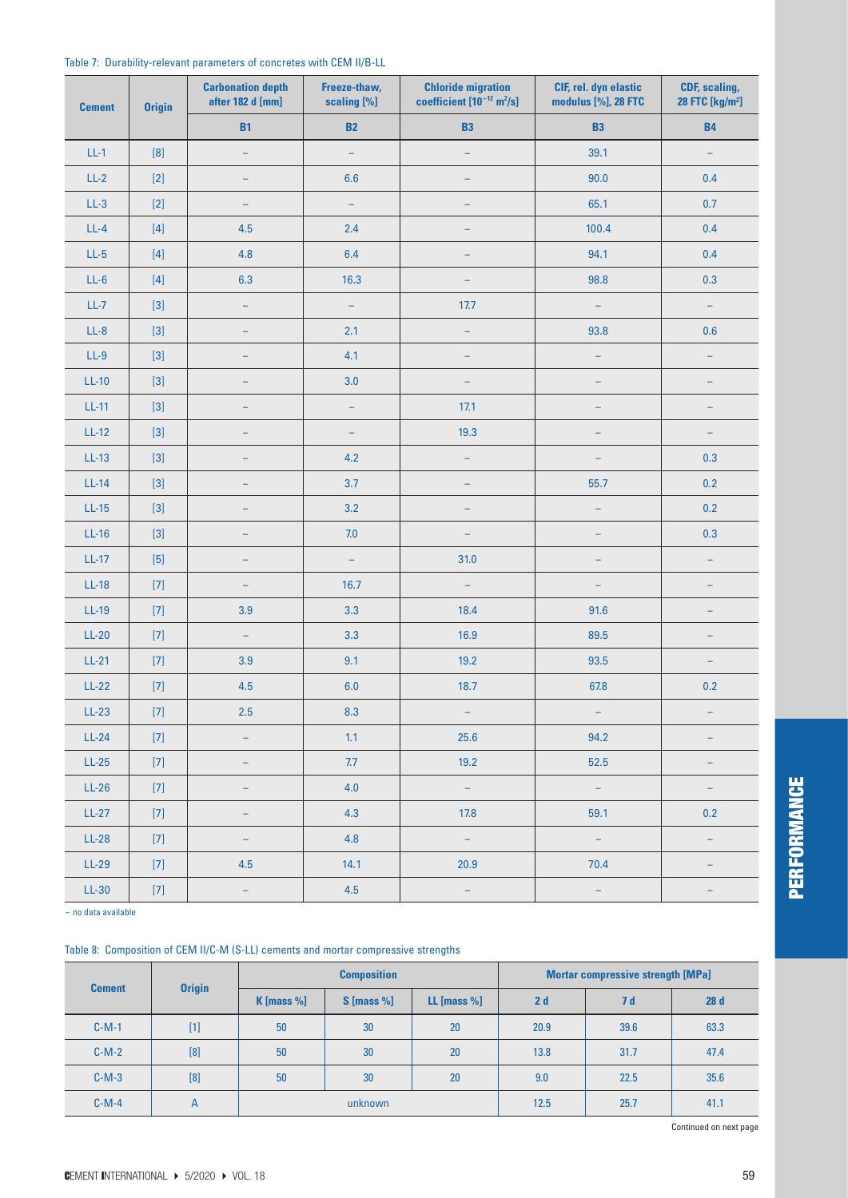|  | Table 7: Durability-relevant parameters of concretes with CEM II/B-LL |  |  |  |  |
|--|-----------------------------------------------------------------------|--|--|--|--|
|--|-----------------------------------------------------------------------|--|--|--|--|

| <b>Cement</b> | <b>Origin</b>                                                                                                                                                                                                                                                                                         | <b>Carbonation depth</b><br>after 182 d [mm] | Freeze-thaw,<br>scaling [%] | <b>Chloride migration</b><br>coefficient $[10^{-12}$ m <sup>2</sup> /s] | CIF, rel. dyn elastic<br>modulus [%], 28 FTC | CDF, scaling,<br>28 FTC [kg/m <sup>2</sup> ] |  |
|---------------|-------------------------------------------------------------------------------------------------------------------------------------------------------------------------------------------------------------------------------------------------------------------------------------------------------|----------------------------------------------|-----------------------------|-------------------------------------------------------------------------|----------------------------------------------|----------------------------------------------|--|
|               |                                                                                                                                                                                                                                                                                                       | <b>B1</b>                                    | <b>B2</b>                   | <b>B3</b>                                                               | <b>B3</b>                                    | <b>B4</b>                                    |  |
| $LL-1$        | [8]                                                                                                                                                                                                                                                                                                   |                                              | $\overline{\phantom{0}}$    |                                                                         | 39.1                                         |                                              |  |
| $LL-2$        | $[2]$                                                                                                                                                                                                                                                                                                 |                                              | 6.6                         |                                                                         | 90.0                                         | 0.4                                          |  |
| $LL-3$        | $[2]$                                                                                                                                                                                                                                                                                                 |                                              |                             |                                                                         | 65.1                                         | 0.7                                          |  |
| $LL-4$        | $[4] % \begin{center} \includegraphics[width=\linewidth]{imagesSupplemental/Imh} \end{center} % \vspace*{-1em} \caption{The image shows the number of parameters in the left and right.} \label{fig:limsub}$                                                                                          | 4.5                                          | 2.4                         |                                                                         | 100.4                                        | 0.4                                          |  |
| $LL-5$        | $[4] % \includegraphics[width=0.9\columnwidth]{figures/fig_4} \caption{A graph shows a function of the number of times, in the left and right.} \label{fig:time} %$                                                                                                                                   | 4.8                                          | 6.4                         |                                                                         | 94.1                                         | 0.4                                          |  |
| $LL-6$        | $[4] % \begin{center} \includegraphics[width=\linewidth]{imagesSupplemental/Imh} \end{center} % \vspace*{-1em} \caption{The image shows the number of parameters in the left and right.} \label{fig:limsub}$                                                                                          | 6.3                                          | 16.3                        |                                                                         | 98.8                                         | 0.3                                          |  |
| $LL-7$        |                                                                                                                                                                                                                                                                                                       | ÷,                                           | $\qquad \qquad -$           | 17.7                                                                    | $\qquad \qquad -$                            | $\overline{\phantom{0}}$                     |  |
| $LL-8$        |                                                                                                                                                                                                                                                                                                       | ÷,                                           | 2.1                         | ÷,                                                                      | 93.8                                         | 0.6                                          |  |
| $LL-9$        |                                                                                                                                                                                                                                                                                                       | ۳                                            | 4.1                         | $\equiv$                                                                | $\overline{\phantom{m}}$                     | $\qquad \qquad -$                            |  |
| $LL-10$       |                                                                                                                                                                                                                                                                                                       | ÷,                                           | 3.0                         | $\overline{\phantom{0}}$                                                | $\overline{\phantom{0}}$                     |                                              |  |
| $LL-11$       |                                                                                                                                                                                                                                                                                                       | $\overline{\phantom{0}}$                     | $\overline{\phantom{m}}$    | 17.1                                                                    | $\overline{\phantom{0}}$                     |                                              |  |
| $LL-12$       |                                                                                                                                                                                                                                                                                                       | ÷                                            | $\qquad \qquad -$           | 19.3                                                                    | $\qquad \qquad -$                            |                                              |  |
| LL-13         |                                                                                                                                                                                                                                                                                                       | $\overline{\phantom{0}}$                     | 4.2                         | $\overline{\phantom{m}}$                                                | ÷                                            | 0.3                                          |  |
| $LL-14$       |                                                                                                                                                                                                                                                                                                       | ۳                                            | 3.7                         | 55.7<br>÷                                                               |                                              | 0.2                                          |  |
| $LL-15$       |                                                                                                                                                                                                                                                                                                       | -                                            | 3.2                         | $\overline{\phantom{a}}$                                                | $\qquad \qquad -$                            |                                              |  |
| $LL-16$       |                                                                                                                                                                                                                                                                                                       | ۳                                            | $7.0\,$                     | $\overline{\phantom{a}}$                                                | ÷                                            | 0.3                                          |  |
| $LL-17$       | $[5] % \begin{center} \includegraphics[width=\linewidth]{imagesSupplemental/Imit} \caption{The image shows the image shows a function of the number of times.} \label{fig:limal} \end{center}$                                                                                                        | -                                            | $\equiv$                    | 31.0                                                                    | $\qquad \qquad -$                            | $\qquad \qquad -$                            |  |
| $LL-18$       | $[7]$                                                                                                                                                                                                                                                                                                 | -                                            | 16.7                        | $\overline{\phantom{m}}$                                                | $\overline{\phantom{m}}$                     | ۳                                            |  |
| $LL-19$       | $[7]$                                                                                                                                                                                                                                                                                                 | 3.9                                          | 3.3                         | 18.4                                                                    | 91.6                                         | ÷                                            |  |
| $LL-20$       |                                                                                                                                                                                                                                                                                                       | $\overline{\phantom{m}}$                     | 3.3                         | 16.9                                                                    | 89.5                                         |                                              |  |
| $LL-21$       | $[7] \centering% \includegraphics[width=1.0\textwidth]{images/TrDiC-Architecture.png} \caption{The 3D (top) and the 4D (bottom) of the 3D (bottom) and the 4D (bottom) of the 3D (bottom) and the 4D (bottom) of the 3D (bottom) and the 4D (bottom) of the 3D (bottom).} \label{TrDiC-Architecture}$ | 3.9                                          | 9.1                         | 19.2                                                                    | 93.5                                         | $\overline{\phantom{0}}$                     |  |
| $LL-22$       |                                                                                                                                                                                                                                                                                                       | 4.5                                          | $6.0\,$                     | 18.7                                                                    | 67.8                                         | $0.2\,$                                      |  |
| $LL-23$       |                                                                                                                                                                                                                                                                                                       | 2.5                                          | 8.3                         | -                                                                       | -                                            | -                                            |  |
| $LL-24$       | $[7]$                                                                                                                                                                                                                                                                                                 | -                                            | 1.1                         | 25.6                                                                    | 94.2                                         | -                                            |  |
| $LL-25$       |                                                                                                                                                                                                                                                                                                       | -                                            | 7.7                         | 19.2                                                                    | 52.5                                         | -                                            |  |
| $LL-26$       | $[7]$                                                                                                                                                                                                                                                                                                 | -                                            | 4.0                         | $\mathbb{H}^{\mathbb{Z}}$                                               | $\frac{1}{\sqrt{2}}$                         | -                                            |  |
| $LL-27$       |                                                                                                                                                                                                                                                                                                       | -                                            | 4.3                         | 17.8                                                                    | 59.1                                         | $0.2\,$                                      |  |
| $LL-28$       | $[7]$                                                                                                                                                                                                                                                                                                 | -                                            | 4.8                         | $\pm$                                                                   | $\equiv$                                     | $\equiv$                                     |  |
| $LL-29$       |                                                                                                                                                                                                                                                                                                       | 4.5                                          | 14.1                        | 20.9                                                                    | 70.4                                         |                                              |  |
| $LL-30$       |                                                                                                                                                                                                                                                                                                       | $\pm$                                        | 4.5                         | $\pm$                                                                   | $\pm$                                        | -                                            |  |

- no data available

#### Table 8: Composition of CEM II/C-M (S-LL) cements and mortar compressive strengths

| <b>Cement</b> | <b>Origin</b> |                 | <b>Composition</b> |                | <b>Mortar compressive strength [MPa]</b> |      |      |  |
|---------------|---------------|-----------------|--------------------|----------------|------------------------------------------|------|------|--|
|               |               | $K$ [mass $%$ ] | $S$ [mass %]       | LL [mass $%$ ] | 2d                                       | 7 d  | 28d  |  |
| $C-M-1$       | $[1]$         | 50              | 30                 | 20             | 20.9                                     | 39.6 | 63.3 |  |
| $C-M-2$       | [8]           | 50              | 30                 | 20             | 13.8                                     | 31.7 | 47.4 |  |
| $C-M-3$       | [8]           | 50              | 30                 | 20             | 9.0                                      | 22.5 | 35.6 |  |
| $C-M-4$       | A             |                 | unknown            |                | 12.5                                     | 25.7 | 41.1 |  |

Continued on next page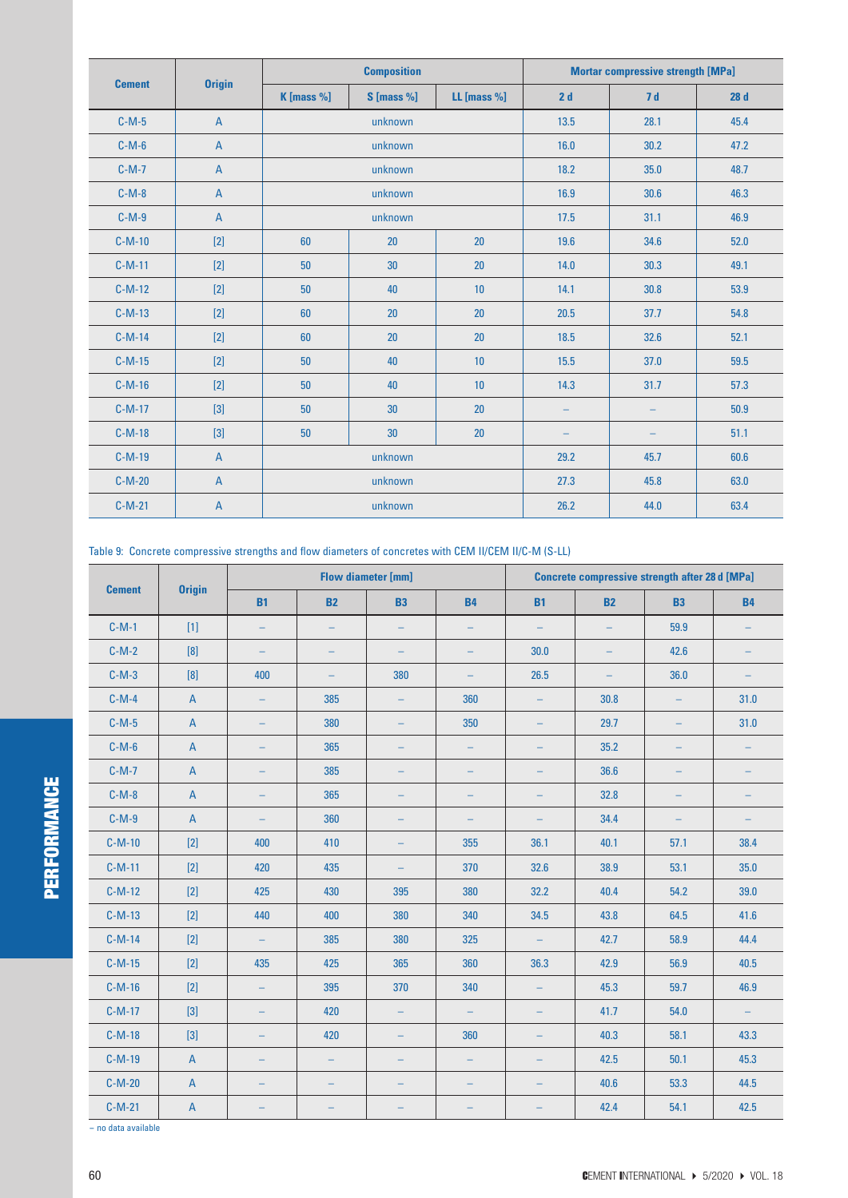| <b>Cement</b> | <b>Origin</b>  |            | <b>Composition</b> |             | <b>Mortar compressive strength [MPa]</b> |      |      |  |
|---------------|----------------|------------|--------------------|-------------|------------------------------------------|------|------|--|
|               |                | K [mass %] | $S$ [mass %]       | LL [mass %] | 2d                                       | 7d   | 28d  |  |
| $C-M-5$       | $\overline{A}$ |            | unknown            |             | 13.5                                     | 28.1 | 45.4 |  |
| $C-M-6$       | $\overline{A}$ |            | unknown            |             | 16.0                                     | 30.2 | 47.2 |  |
| $C-M-7$       | $\mathsf{A}$   |            | unknown            |             | 18.2                                     | 35.0 | 48.7 |  |
| $C-M-8$       | $\overline{A}$ |            | unknown            |             | 16.9                                     | 30.6 | 46.3 |  |
| $C-M-9$       | $\overline{A}$ |            | unknown            |             | 17.5                                     | 31.1 | 46.9 |  |
| $C-M-10$      | $[2]$          | 60         | 20                 | 20          | 19.6                                     | 34.6 | 52.0 |  |
| $C-M-11$      | $[2]$          | 50         | 30                 | 20          | 14.0                                     | 30.3 | 49.1 |  |
| $C-M-12$      | $[2]$          | 50         | 40                 | 10          | 14.1                                     | 30.8 | 53.9 |  |
| $C-M-13$      | $[2]$          | 60         | 20                 | 20          | 20.5                                     | 37.7 | 54.8 |  |
| $C-M-14$      | $[2]$          | 60         | 20                 | 20          | 18.5                                     | 32.6 | 52.1 |  |
| $C-M-15$      | $[2]$          | 50         | 40                 | 10          | 15.5                                     | 37.0 | 59.5 |  |
| $C-M-16$      | $[2]$          | 50         | 40                 | 10          | 14.3                                     | 31.7 | 57.3 |  |
| $C-M-17$      | $[3]$          | 50         | 30                 | 20          |                                          |      | 50.9 |  |
| $C-M-18$      | $[3]$          | 50         | 30                 | 20          |                                          |      | 51.1 |  |
| $C-M-19$      | $\mathsf{A}$   |            | unknown            |             |                                          | 45.7 | 60.6 |  |
| $C-M-20$      | $\mathsf{A}$   |            | unknown            |             | 27.3                                     | 45.8 | 63.0 |  |
| $C-M-21$      | $\mathsf{A}$   |            | unknown            |             | 26.2                                     | 44.0 | 63.4 |  |

Table 9: Concrete compressive strengths and flow diameters of concretes with CEM II/CEM II/C-M (S-LL)

| <b>Cement</b> | <b>Origin</b>             | <b>Flow diameter [mm]</b> |                          |                          |                   | <b>Concrete compressive strength after 28 d [MPa]</b> |           |                          |           |
|---------------|---------------------------|---------------------------|--------------------------|--------------------------|-------------------|-------------------------------------------------------|-----------|--------------------------|-----------|
|               |                           | <b>B1</b>                 | <b>B2</b>                | <b>B3</b>                | <b>B4</b>         | <b>B1</b>                                             | <b>B2</b> | <b>B3</b>                | <b>B4</b> |
| $C-M-1$       | $[1]$                     | $\equiv$                  | ÷,                       |                          | $\equiv$          | $\equiv$                                              | $\equiv$  | 59.9                     |           |
| $C-M-2$       |                           | $\equiv$                  | ÷                        | $\qquad \qquad -$        | $\equiv$          | 30.0                                                  | ÷         | 42.6                     | $\equiv$  |
| $C-M-3$       | [8]                       | 400                       | $\equiv$                 | 380                      | $\qquad \qquad -$ | 26.5                                                  | $\equiv$  | 36.0                     |           |
| $C-M-4$       | $\overline{A}$            | $\equiv$                  | 385                      | $-$                      | 360               | $\qquad \qquad -$                                     | 30.8      | $\equiv$                 | 31.0      |
| $C-M-5$       | $\overline{A}$            | $\equiv$                  | 380                      |                          | 350               | $\qquad \qquad -$                                     | 29.7      | $\overline{\phantom{0}}$ | 31.0      |
| $C-M-6$       | $\overline{A}$            | ÷,                        | 365                      |                          | $\qquad \qquad -$ | $\qquad \qquad -$                                     | 35.2      | ÷                        | ÷,        |
| $C-M-7$       | $\mathsf A$               | ÷,                        | 385                      |                          |                   | ÷                                                     | 36.6      | ÷                        |           |
| $C-M-8$       | $\overline{A}$            | $\equiv$                  | 365                      |                          |                   | -                                                     | 32.8      | $\overline{\phantom{0}}$ |           |
| $C-M-9$       | $\overline{A}$            | ÷,                        | 360                      |                          | $\qquad \qquad -$ | $\qquad \qquad -$                                     | 34.4      | $\qquad \qquad -$        | -         |
| $C-M-10$      | $[2]$                     | 400                       | 410                      |                          | 355               | 36.1                                                  | 40.1      | 57.1                     | 38.4      |
| $C-M-11$      | $[2]$                     | 420                       | 435                      |                          | 370               | 32.6                                                  | 38.9      | 53.1                     | 35.0      |
| $C-M-12$      | $[2]$                     | 425                       | 430                      | 395                      | 380               | 32.2                                                  | 40.4      | 54.2                     | 39.0      |
| $C-M-13$      | $[2]$                     | 440                       | 400                      | 380                      | 340               | 34.5                                                  | 43.8      | 64.5                     | 41.6      |
| $C-M-14$      | $[2]$                     | $-$                       | 385                      | 380                      | 325               | $\overline{\phantom{m}}$                              | 42.7      | 58.9                     | 44.4      |
| $C-M-15$      | $[2]$                     | 435                       | 425                      | 365                      | 360               | 36.3                                                  | 42.9      | 56.9                     | 40.5      |
| $C-M-16$      | $[2]$                     | $\equiv$                  | 395                      | 370                      | 340               | $\qquad \qquad -$                                     | 45.3      | 59.7                     | 46.9      |
| $C-M-17$      | $[3]$                     | ÷,                        | 420                      | $\qquad \qquad -$        | $\equiv$          | $\overline{\phantom{m}}$                              | 41.7      | 54.0                     | $\equiv$  |
| $C-M-18$      | $[3]$                     | $\equiv$                  | 420                      | $\overline{\phantom{0}}$ | 360               | $\qquad \qquad -$                                     | 40.3      | 58.1                     | 43.3      |
| $C-M-19$      | $\overline{A}$            | $\equiv$                  | $\equiv$                 | ۳                        | $\equiv$          | $\equiv$                                              | 42.5      | 50.1                     | 45.3      |
| $C-M-20$      | $\boldsymbol{\mathsf{A}}$ |                           |                          |                          |                   |                                                       | 40.6      | 53.3                     | 44.5      |
| $C-M-21$      | $\overline{A}$            | -                         | $\overline{\phantom{0}}$ |                          |                   |                                                       | 42.4      | 54.1                     | 42.5      |

- no data available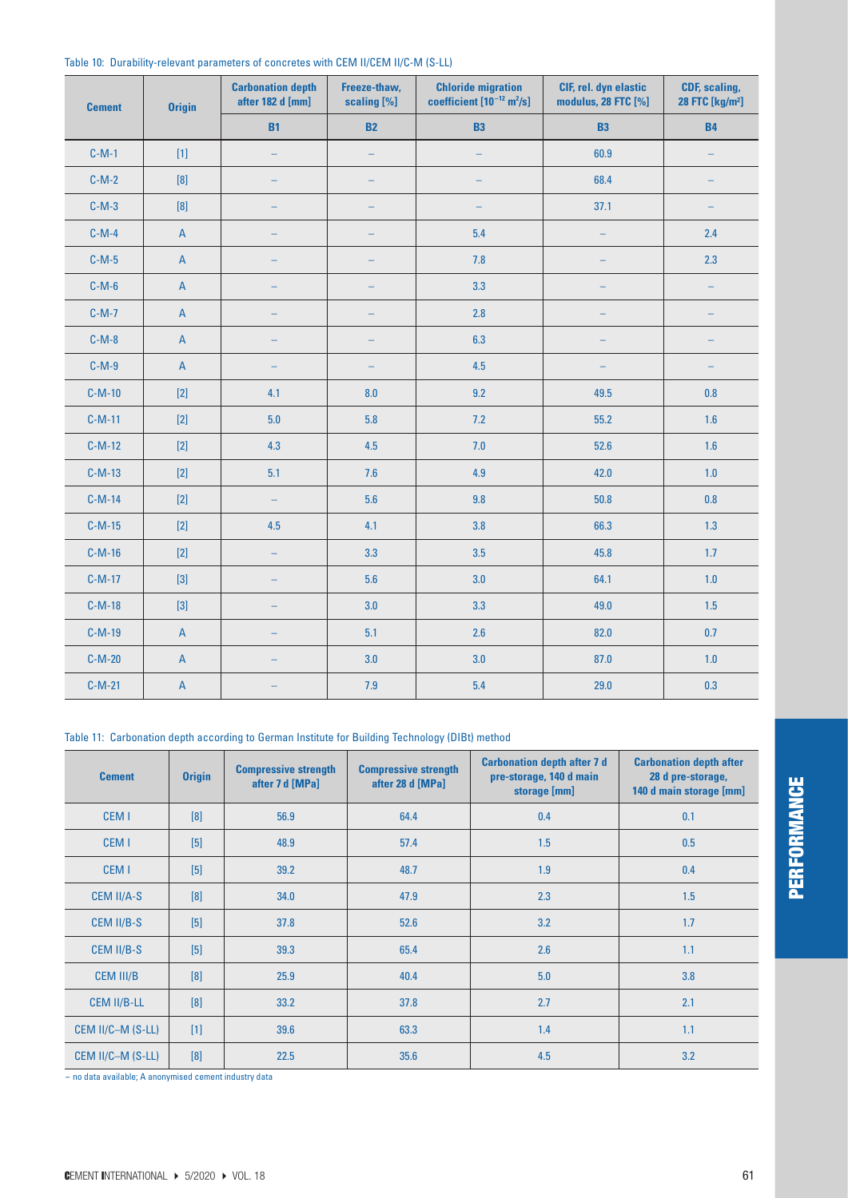| <b>Cement</b> | <b>Origin</b>             | <b>Carbonation depth</b><br>after 182 d [mm] | Freeze-thaw,<br>scaling [%] | <b>Chloride migration</b><br>coefficient $[10^{-12}$ m <sup>2</sup> /s] | CIF, rel. dyn elastic<br>modulus, 28 FTC [%] | CDF, scaling,<br>28 FTC [kg/m <sup>2</sup> ] |
|---------------|---------------------------|----------------------------------------------|-----------------------------|-------------------------------------------------------------------------|----------------------------------------------|----------------------------------------------|
|               |                           | <b>B1</b>                                    | <b>B2</b>                   | <b>B3</b>                                                               | <b>B3</b>                                    | <b>B4</b>                                    |
| $C-M-1$       | $[1]$                     | $\equiv$                                     | $\equiv$                    | $\equiv$                                                                | 60.9                                         |                                              |
| $C-M-2$       |                           |                                              |                             |                                                                         | 68.4                                         |                                              |
| $C-M-3$       |                           |                                              |                             |                                                                         | 37.1                                         |                                              |
| $C-M-4$       | $\mathsf A$               |                                              |                             | 5.4                                                                     | ۳                                            | 2.4                                          |
| $C-M-5$       | $\mathsf A$               |                                              | -                           | 7.8                                                                     |                                              | 2.3                                          |
| $C-M-6$       | $\overline{A}$            |                                              |                             | 3.3                                                                     |                                              |                                              |
| $C-M-7$       | $\mathsf A$               | $\equiv$                                     | $\qquad \qquad -$           | $2.8$                                                                   | $\overline{\phantom{0}}$                     | ÷,                                           |
| $C-M-8$       | $\mathsf A$               |                                              |                             | 6.3                                                                     |                                              |                                              |
| $C-M-9$       | $\overline{A}$            |                                              |                             | 4.5                                                                     |                                              |                                              |
| $C-M-10$      | $[2]$                     | 4.1                                          | 8.0                         | 9.2                                                                     | 49.5                                         | $0.8\,$                                      |
| $C-M-11$      | $[2]$                     | 5.0                                          | 5.8                         | 7.2                                                                     | 55.2                                         | 1.6                                          |
| $C-M-12$      | $[2]$                     | 4.3                                          | 4.5                         | 7.0                                                                     | 52.6                                         | 1.6                                          |
| $C-M-13$      | $[2]$                     | 5.1                                          | 7.6                         | 4.9                                                                     | 42.0                                         | $1.0$                                        |
| $C-M-14$      | $[2]$                     | $\frac{1}{2}$                                | 5.6                         | 9.8                                                                     | 50.8                                         | 0.8                                          |
| $C-M-15$      | $[2]$                     | 4.5                                          | 4.1                         | 3.8                                                                     | 66.3                                         | 1.3                                          |
| $C-M-16$      | $[2]$                     |                                              | 3.3                         | 3.5                                                                     | 45.8                                         | 1.7                                          |
| $C-M-17$      | $[3]$                     | $\overline{\phantom{m}}$                     | 5.6                         | 3.0                                                                     | 64.1                                         | 1.0                                          |
| $C-M-18$      | $[3]$                     | ÷                                            | 3.0                         | 3.3                                                                     | 49.0                                         | 1.5                                          |
| $C-M-19$      | $\mathsf A$               | $\overline{\phantom{0}}$                     | 5.1                         | 2.6                                                                     | 82.0                                         | 0.7                                          |
| $C-M-20$      | $\overline{A}$            | ÷                                            | 3.0                         | 3.0                                                                     | 87.0                                         | 1.0                                          |
| $C-M-21$      | $\boldsymbol{\mathsf{A}}$ |                                              | 7.9                         | 5.4                                                                     | 29.0                                         | 0.3                                          |

#### Table 10: Durability-relevant parameters of concretes with CEM II/CEM II/C-M (S-LL)

Table 11: Carbonation depth according to German Institute for Building Technology (DIBt) method

| <b>Cement</b>      | <b>Origin</b> | <b>Compressive strength</b><br>after 7 d [MPa] | <b>Compressive strength</b><br>after 28 d [MPa] | <b>Carbonation depth after 7 d</b><br>pre-storage, 140 d main<br>storage [mm] | <b>Carbonation depth after</b><br>28 d pre-storage,<br>140 d main storage [mm] |
|--------------------|---------------|------------------------------------------------|-------------------------------------------------|-------------------------------------------------------------------------------|--------------------------------------------------------------------------------|
| CEM <sub>1</sub>   | [8]           | 56.9                                           | 64.4                                            | 0.4                                                                           | 0.1                                                                            |
| CEM <sub>1</sub>   | $[5]$         | 48.9                                           | 57.4                                            | 1.5                                                                           | 0.5                                                                            |
| CEM <sub>1</sub>   | $[5]$         | 39.2                                           | 48.7                                            | 1.9                                                                           | 0.4                                                                            |
| <b>CEM II/A-S</b>  | [8]           | 34.0                                           | 47.9                                            | 2.3                                                                           | 1.5                                                                            |
| CEM II/B-S         | $[5]$         | 37.8                                           | 52.6                                            | 3.2                                                                           | 1.7                                                                            |
| CEM II/B-S         | $[5]$         | 39.3                                           | 65.4                                            | 2.6                                                                           | 1.1                                                                            |
| <b>CEM III/B</b>   | [8]           | 25.9                                           | 40.4                                            | 5.0                                                                           | 3.8                                                                            |
| <b>CEM II/B-LL</b> | [8]           | 33.2                                           | 37.8                                            | 2.7                                                                           | 2.1                                                                            |
| CEM II/C-M (S-LL)  | $[1]$         | 39.6                                           | 63.3                                            | 1.4                                                                           | 1.1                                                                            |
| CEM II/C-M (S-LL)  | [8]           | 22.5                                           | 35.6                                            | 4.5                                                                           | 3.2                                                                            |

- no data available; A anonymised cement industry data